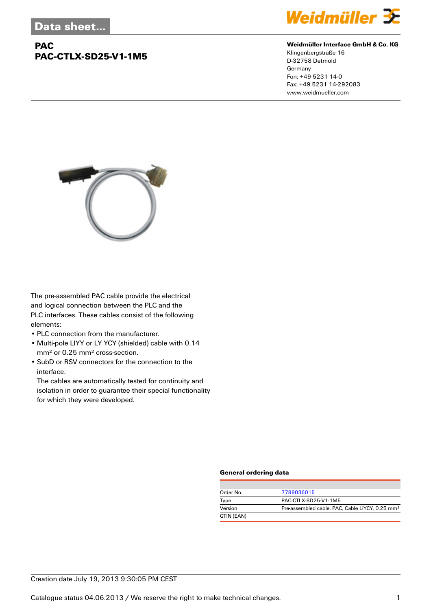## **PAC PAC-CTLX-SD25-V1-1M5**



#### **Weidmüller Interface GmbH & Co. KG**

Klingenbergstraße 16 D-32758 Detmold Germany Fon: +49 5231 14-0 Fax: +49 5231 14-292083 www.weidmueller.com



The pre-assembled PAC cable provide the electrical and logical connection between the PLC and the PLC interfaces. These cables consist of the following elements:

- PLC connection from the manufacturer.
- Multi-pole LIYY or LY YCY (shielded) cable with 0.14 mm² or 0.25 mm² cross-section.
- SubD or RSV connectors for the connection to the interface.

The cables are automatically tested for continuity and isolation in order to guarantee their special functionality for which they were developed.

#### **General ordering data**

| Order No.  | 7789036015                                                  |
|------------|-------------------------------------------------------------|
| Type       | PAC-CTLX-SD25-V1-1M5                                        |
| Version    | Pre-assembled cable, PAC, Cable LiYCY, 0.25 mm <sup>2</sup> |
| GTIN (EAN) |                                                             |